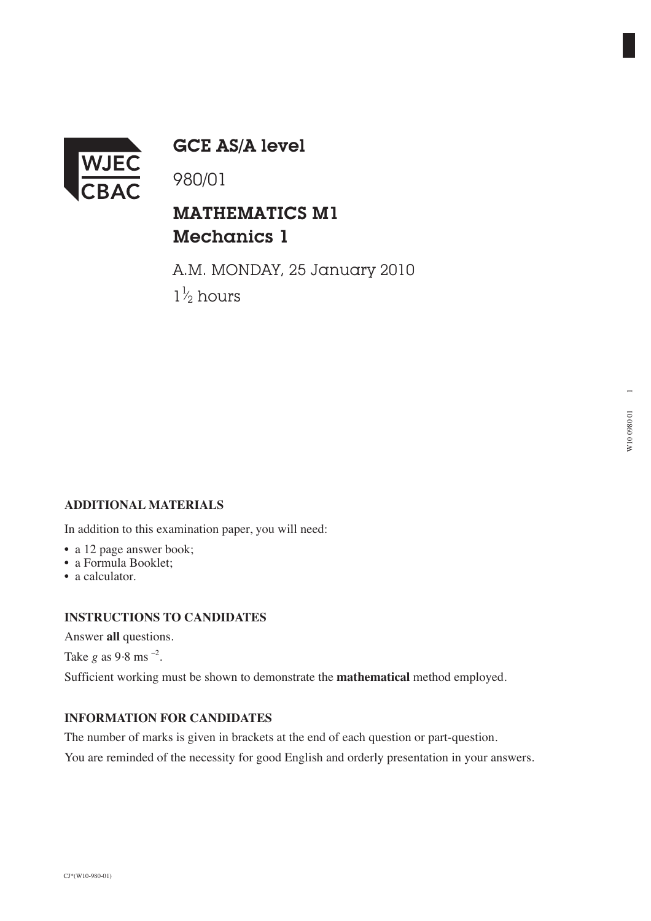

GCE AS/A level

980/01

## MATHEMATICS M1 Mechanics 1

A.M. MONDAY, 25 January 2010  $1\frac{1}{2}$  hours ⁄

### **ADDITIONAL MATERIALS**

In addition to this examination paper, you will need:

- a 12 page answer book;
- a Formula Booklet;
- a calculator.

#### **INSTRUCTIONS TO CANDIDATES**

Answer **all** questions.

Take *g* as 9.8 ms<sup>-2</sup>.

Sufficient working must be shown to demonstrate the **mathematical** method employed.

#### **INFORMATION FOR CANDIDATES**

The number of marks is given in brackets at the end of each question or part-question.

You are reminded of the necessity for good English and orderly presentation in your answers.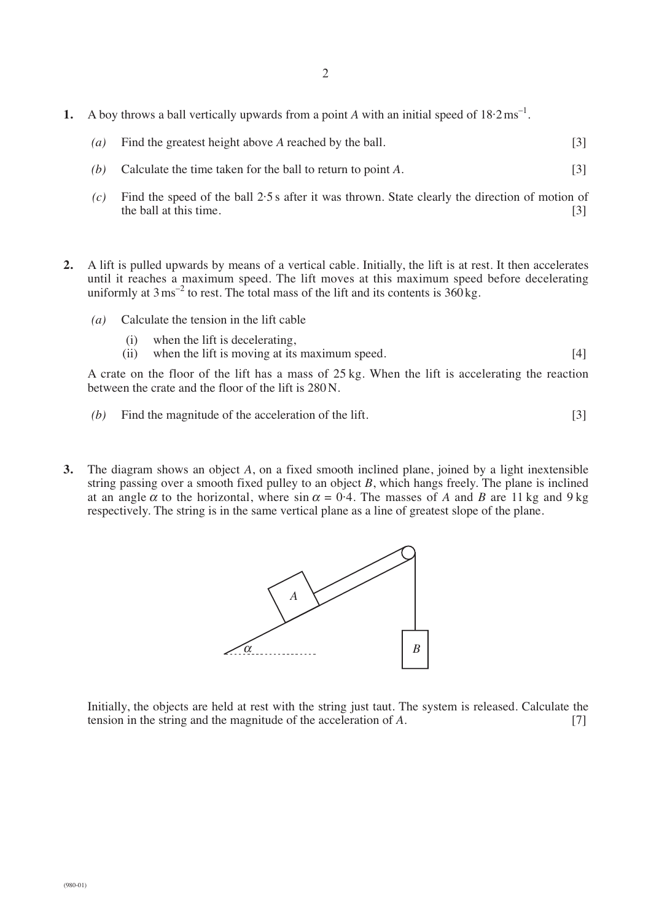- **1.** A boy throws a ball vertically upwards from a point A with an initial speed of  $18.2 \text{ ms}^{-1}$ .
	- *(a)* Find the greatest height above *A* reached by the ball. [3]
	- *(b)* Calculate the time taken for the ball to return to point *A*. [3]
	- *(c)* Find the speed of the ball 2·5 s after it was thrown. State clearly the direction of motion of the ball at this time.  $[3]$
- **2.** A lift is pulled upwards by means of a vertical cable. Initially, the lift is at rest. It then accelerates until it reaches a maximum speed. The lift moves at this maximum speed before decelerating uniformly at  $3 \text{ ms}^{-2}$  to rest. The total mass of the lift and its contents is  $360 \text{ kg}$ .
	- *(a)* Calculate the tension in the lift cable
		- (i) when the lift is decelerating,
		- (ii) when the lift is moving at its maximum speed. [4]

A crate on the floor of the lift has a mass of 25 kg. When the lift is accelerating the reaction between the crate and the floor of the lift is 280 N.

- *(b)* Find the magnitude of the acceleration of the lift. [3]
- **3.** The diagram shows an object *A*, on a fixed smooth inclined plane, joined by a light inextensible string passing over a smooth fixed pulley to an object *B*, which hangs freely. The plane is inclined at an angle  $\alpha$  to the horizontal, where  $\sin \alpha = 0.4$ . The masses of *A* and *B* are 11 kg and 9 kg respectively. The string is in the same vertical plane as a line of greatest slope of the plane.



Initially, the objects are held at rest with the string just taut. The system is released. Calculate the tension in the string and the magnitude of the acceleration of *A*. [7]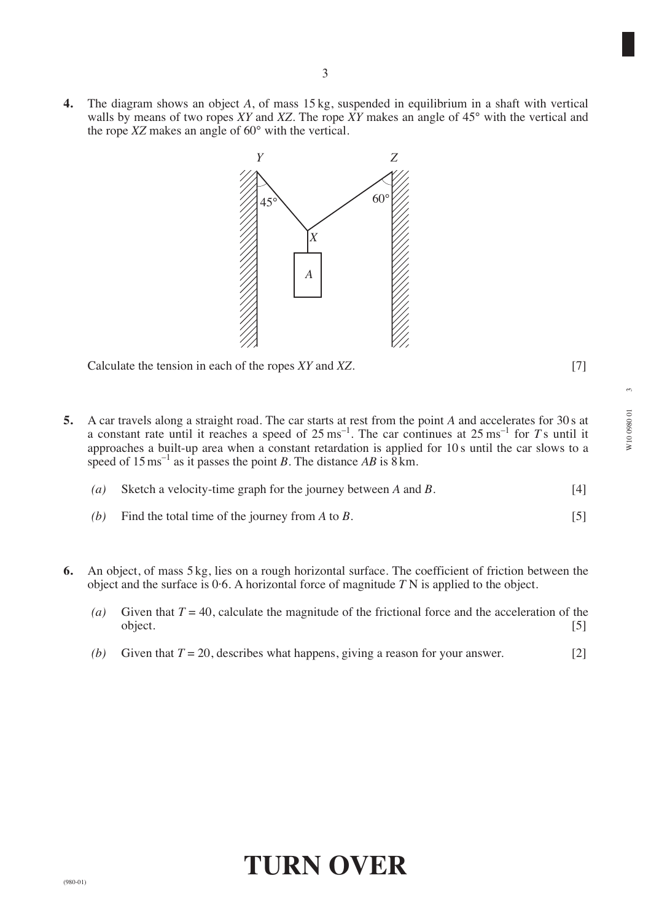**4.** The diagram shows an object *A*, of mass 15 kg, suspended in equilibrium in a shaft with vertical walls by means of two ropes *XY* and *XZ*. The rope *XY* makes an angle of 45° with the vertical and the rope *XZ* makes an angle of 60° with the vertical.



Calculate the tension in each of the ropes *XY* and *XZ*. [7]

**5.** A car travels along a straight road. The car starts at rest from the point *A* and accelerates for 30 s at a constant rate until it reaches a speed of  $25 \text{ ms}^{-1}$ . The car continues at  $25 \text{ ms}^{-1}$  for  $T$  s until it approaches a built-up area when a constant retardation is applied for 10 s until the car slows to a speed of  $15 \text{ ms}^{-1}$  as it passes the point *B*. The distance *AB* is 8 km.

| (a) Sketch a velocity-time graph for the journey between A and B. | $[4]$ |
|-------------------------------------------------------------------|-------|
|                                                                   |       |

- *(b)* Find the total time of the journey from *A* to *B*. [5]
- **6.** An object, of mass 5 kg, lies on a rough horizontal surface. The coefficient of friction between the object and the surface is 0·6. A horizontal force of magnitude *T* N is applied to the object.
	- (*a*) Given that  $T = 40$ , calculate the magnitude of the frictional force and the acceleration of the object. [5]
	- *(b)* Given that  $T = 20$ , describes what happens, giving a reason for your answer. [2]

# **TURN OVER**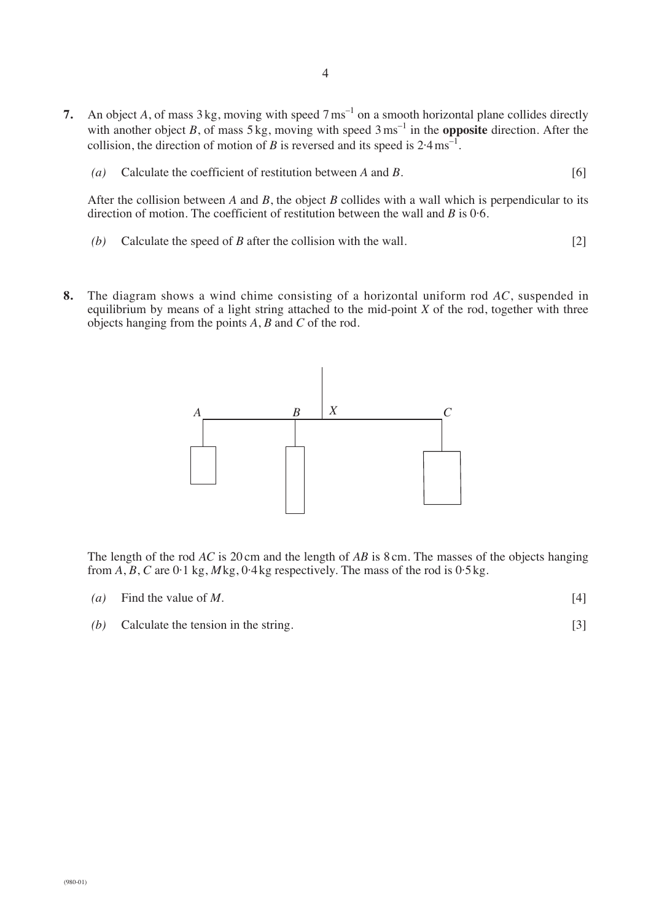- **7.** An object *A*, of mass  $3 \text{ kg}$ , moving with speed  $7 \text{ ms}^{-1}$  on a smooth horizontal plane collides directly with another object *B*, of mass  $5 \text{ kg}$ , moving with speed  $3 \text{ ms}^{-1}$  in the **opposite** direction. After the collision, the direction of motion of *B* is reversed and its speed is  $2.4 \text{ ms}^{-1}$ .
	- *(a)* Calculate the coefficient of restitution between *A* and *B*. [6]

After the collision between *A* and *B*, the object *B* collides with a wall which is perpendicular to its direction of motion. The coefficient of restitution between the wall and *B* is 0·6.

- *(b)* Calculate the speed of *B* after the collision with the wall. [2]
- **8.** The diagram shows a wind chime consisting of a horizontal uniform rod *AC*, suspended in equilibrium by means of a light string attached to the mid-point *X* of the rod, together with three objects hanging from the points *A*, *B* and *C* of the rod.



The length of the rod *AC* is 20 cm and the length of *AB* is 8 cm. The masses of the objects hanging from  $A$ ,  $B$ ,  $C$  are  $0.1$  kg,  $M$ kg,  $0.4$ kg respectively. The mass of the rod is  $0.5$ kg.

| (a) Find the value of M. |  |
|--------------------------|--|
|                          |  |

*(b)* Calculate the tension in the string. [3]